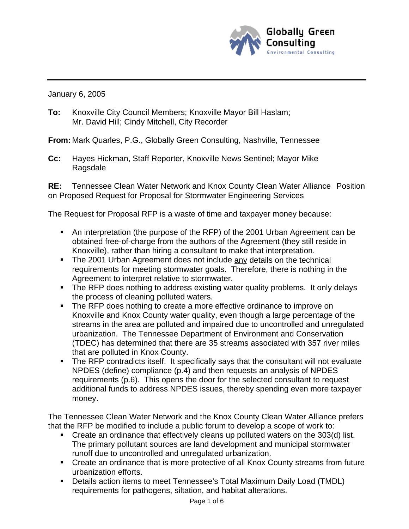

January 6, 2005

**To:** Knoxville City Council Members; Knoxville Mayor Bill Haslam; Mr. David Hill; Cindy Mitchell, City Recorder

**From:** Mark Quarles, P.G., Globally Green Consulting, Nashville, Tennessee

**Cc:** Hayes Hickman, Staff Reporter, Knoxville News Sentinel; Mayor Mike Ragsdale

**RE:** Tennessee Clean Water Network and Knox County Clean Water Alliance Position on Proposed Request for Proposal for Stormwater Engineering Services

The Request for Proposal RFP is a waste of time and taxpayer money because:

- An interpretation (the purpose of the RFP) of the 2001 Urban Agreement can be obtained free-of-charge from the authors of the Agreement (they still reside in Knoxville), rather than hiring a consultant to make that interpretation.
- The 2001 Urban Agreement does not include any details on the technical requirements for meeting stormwater goals. Therefore, there is nothing in the Agreement to interpret relative to stormwater.
- The RFP does nothing to address existing water quality problems. It only delays the process of cleaning polluted waters.
- The RFP does nothing to create a more effective ordinance to improve on Knoxville and Knox County water quality, even though a large percentage of the streams in the area are polluted and impaired due to uncontrolled and unregulated urbanization. The Tennessee Department of Environment and Conservation (TDEC) has determined that there are 35 streams associated with 357 river miles that are polluted in Knox County.
- The RFP contradicts itself. It specifically says that the consultant will not evaluate NPDES (define) compliance (p.4) and then requests an analysis of NPDES requirements (p.6). This opens the door for the selected consultant to request additional funds to address NPDES issues, thereby spending even more taxpayer money.

The Tennessee Clean Water Network and the Knox County Clean Water Alliance prefers that the RFP be modified to include a public forum to develop a scope of work to:

- Create an ordinance that effectively cleans up polluted waters on the 303(d) list. The primary pollutant sources are land development and municipal stormwater runoff due to uncontrolled and unregulated urbanization.
- Create an ordinance that is more protective of all Knox County streams from future urbanization efforts.
- Details action items to meet Tennessee's Total Maximum Daily Load (TMDL) requirements for pathogens, siltation, and habitat alterations.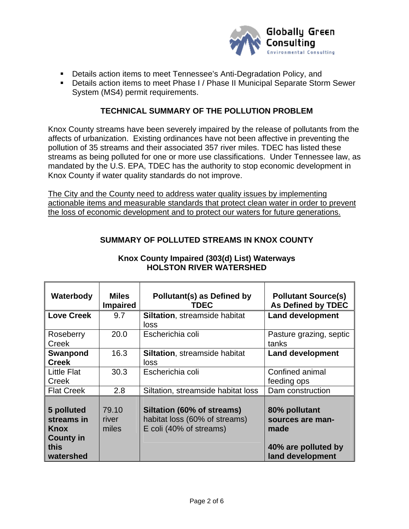

- **•** Details action items to meet Tennessee's Anti-Degradation Policy, and
- Details action items to meet Phase I / Phase II Municipal Separate Storm Sewer System (MS4) permit requirements.

### **TECHNICAL SUMMARY OF THE POLLUTION PROBLEM**

Knox County streams have been severely impaired by the release of pollutants from the affects of urbanization. Existing ordinances have not been affective in preventing the pollution of 35 streams and their associated 357 river miles. TDEC has listed these streams as being polluted for one or more use classifications. Under Tennessee law, as mandated by the U.S. EPA, TDEC has the authority to stop economic development in Knox County if water quality standards do not improve.

The City and the County need to address water quality issues by implementing actionable items and measurable standards that protect clean water in order to prevent the loss of economic development and to protect our waters for future generations.

# **SUMMARY OF POLLUTED STREAMS IN KNOX COUNTY**

| Waterbody                                                                        | <b>Miles</b><br><b>Impaired</b> | Pollutant(s) as Defined by<br><b>TDEC</b>                                              | <b>Pollutant Source(s)</b><br><b>As Defined by TDEC</b>                              |
|----------------------------------------------------------------------------------|---------------------------------|----------------------------------------------------------------------------------------|--------------------------------------------------------------------------------------|
| <b>Love Creek</b>                                                                | 9.7                             | <b>Siltation, streamside habitat</b><br>loss                                           | <b>Land development</b>                                                              |
| Roseberry<br>Creek                                                               | 20.0                            | Escherichia coli                                                                       | Pasture grazing, septic<br>tanks                                                     |
| Swanpond<br><b>Creek</b>                                                         | 16.3                            | <b>Siltation, streamside habitat</b><br>loss                                           | <b>Land development</b>                                                              |
| <b>Little Flat</b><br>Creek                                                      | 30.3                            | Escherichia coli                                                                       | Confined animal<br>feeding ops                                                       |
| <b>Flat Creek</b>                                                                | 2.8                             | Siltation, streamside habitat loss                                                     | Dam construction                                                                     |
| 5 polluted<br>streams in<br><b>Knox</b><br><b>County in</b><br>this<br>watershed | 79.10<br>river<br>miles         | Siltation (60% of streams)<br>habitat loss (60% of streams)<br>E coli (40% of streams) | 80% pollutant<br>sources are man-<br>made<br>40% are polluted by<br>land development |

## **Knox County Impaired (303(d) List) Waterways HOLSTON RIVER WATERSHED**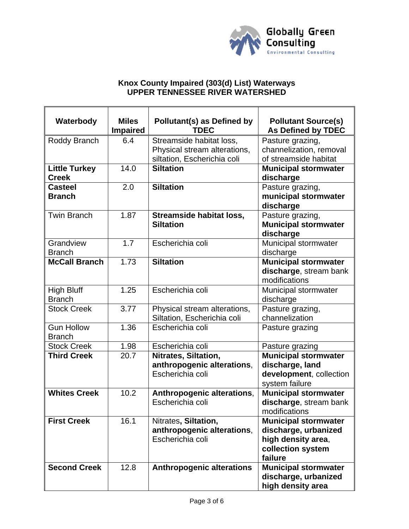

### **Knox County Impaired (303(d) List) Waterways UPPER TENNESSEE RIVER WATERSHED**

| Waterbody                            | <b>Miles</b><br><b>Impaired</b> | <b>Pollutant(s) as Defined by</b><br><b>TDEC</b>                                        | <b>Pollutant Source(s)</b><br><b>As Defined by TDEC</b>                                                   |
|--------------------------------------|---------------------------------|-----------------------------------------------------------------------------------------|-----------------------------------------------------------------------------------------------------------|
| Roddy Branch                         | 6.4                             | Streamside habitat loss,<br>Physical stream alterations,<br>siltation, Escherichia coli | Pasture grazing,<br>channelization, removal<br>of streamside habitat                                      |
| <b>Little Turkey</b><br><b>Creek</b> | 14.0                            | <b>Siltation</b>                                                                        | <b>Municipal stormwater</b><br>discharge                                                                  |
| <b>Casteel</b><br><b>Branch</b>      | 2.0                             | <b>Siltation</b>                                                                        | Pasture grazing,<br>municipal stormwater<br>discharge                                                     |
| <b>Twin Branch</b>                   | 1.87                            | Streamside habitat loss,<br><b>Siltation</b>                                            | Pasture grazing,<br><b>Municipal stormwater</b><br>discharge                                              |
| Grandview<br><b>Branch</b>           | 1.7                             | Escherichia coli                                                                        | Municipal stormwater<br>discharge                                                                         |
| <b>McCall Branch</b>                 | 1.73                            | <b>Siltation</b>                                                                        | <b>Municipal stormwater</b><br>discharge, stream bank<br>modifications                                    |
| <b>High Bluff</b><br><b>Branch</b>   | 1.25                            | Escherichia coli                                                                        | Municipal stormwater<br>discharge                                                                         |
| <b>Stock Creek</b>                   | 3.77                            | Physical stream alterations,<br>Siltation, Escherichia coli                             | Pasture grazing,<br>channelization                                                                        |
| <b>Gun Hollow</b><br><b>Branch</b>   | 1.36                            | Escherichia coli                                                                        | Pasture grazing                                                                                           |
| <b>Stock Creek</b>                   | 1.98                            | Escherichia coli                                                                        | Pasture grazing                                                                                           |
| <b>Third Creek</b>                   | 20.7                            | Nitrates, Siltation,<br>anthropogenic alterations,<br>Escherichia coli                  | <b>Municipal stormwater</b><br>discharge, land<br>development, collection<br>system failure               |
| <b>Whites Creek</b>                  | 10.2                            | Anthropogenic alterations,<br>Escherichia coli                                          | <b>Municipal stormwater</b><br>discharge, stream bank<br>modifications                                    |
| <b>First Creek</b>                   | 16.1                            | Nitrates, Siltation,<br>anthropogenic alterations,<br>Escherichia coli                  | <b>Municipal stormwater</b><br>discharge, urbanized<br>high density area,<br>collection system<br>failure |
| <b>Second Creek</b>                  | 12.8                            | <b>Anthropogenic alterations</b>                                                        | <b>Municipal stormwater</b><br>discharge, urbanized<br>high density area                                  |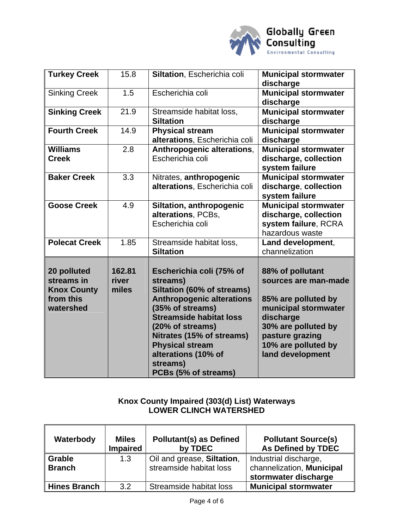

| <b>Turkey Creek</b>                                                       | 15.8                     | Siltation, Escherichia coli                                                                                                                                                                                                                                                                        | <b>Municipal stormwater</b><br>discharge                                                                                                                                                  |
|---------------------------------------------------------------------------|--------------------------|----------------------------------------------------------------------------------------------------------------------------------------------------------------------------------------------------------------------------------------------------------------------------------------------------|-------------------------------------------------------------------------------------------------------------------------------------------------------------------------------------------|
| <b>Sinking Creek</b>                                                      | 1.5                      | Escherichia coli                                                                                                                                                                                                                                                                                   | <b>Municipal stormwater</b><br>discharge                                                                                                                                                  |
| <b>Sinking Creek</b>                                                      | 21.9                     | Streamside habitat loss,<br><b>Siltation</b>                                                                                                                                                                                                                                                       | <b>Municipal stormwater</b><br>discharge                                                                                                                                                  |
| <b>Fourth Creek</b>                                                       | 14.9                     | <b>Physical stream</b><br>alterations, Escherichia coli                                                                                                                                                                                                                                            | <b>Municipal stormwater</b><br>discharge                                                                                                                                                  |
| <b>Williams</b><br><b>Creek</b>                                           | 2.8                      | Anthropogenic alterations,<br>Escherichia coli                                                                                                                                                                                                                                                     | <b>Municipal stormwater</b><br>discharge, collection<br>system failure                                                                                                                    |
| <b>Baker Creek</b>                                                        | 3.3                      | Nitrates, anthropogenic<br>alterations, Escherichia coli                                                                                                                                                                                                                                           | <b>Municipal stormwater</b><br>discharge, collection<br>system failure                                                                                                                    |
| <b>Goose Creek</b>                                                        | 4.9                      | Siltation, anthropogenic<br>alterations, PCBs,<br>Escherichia coli                                                                                                                                                                                                                                 | <b>Municipal stormwater</b><br>discharge, collection<br>system failure, RCRA<br>hazardous waste                                                                                           |
| <b>Polecat Creek</b>                                                      | 1.85                     | Streamside habitat loss,<br><b>Siltation</b>                                                                                                                                                                                                                                                       | Land development,<br>channelization                                                                                                                                                       |
| 20 polluted<br>streams in<br><b>Knox County</b><br>from this<br>watershed | 162.81<br>river<br>miles | Escherichia coli (75% of<br>streams)<br>Siltation (60% of streams)<br><b>Anthropogenic alterations</b><br>(35% of streams)<br><b>Streamside habitat loss</b><br>(20% of streams)<br>Nitrates (15% of streams)<br><b>Physical stream</b><br>alterations (10% of<br>streams)<br>PCBs (5% of streams) | 88% of pollutant<br>sources are man-made<br>85% are polluted by<br>municipal stormwater<br>discharge<br>30% are polluted by<br>pasture grazing<br>10% are polluted by<br>land development |

## **Knox County Impaired (303(d) List) Waterways LOWER CLINCH WATERSHED**

| Waterbody                      | <b>Miles</b><br><b>Impaired</b> | <b>Pollutant(s) as Defined</b><br>by TDEC             | <b>Pollutant Source(s)</b><br><b>As Defined by TDEC</b>                    |
|--------------------------------|---------------------------------|-------------------------------------------------------|----------------------------------------------------------------------------|
| <b>Grable</b><br><b>Branch</b> | 1.3                             | Oil and grease, Siltation,<br>streamside habitat loss | Industrial discharge,<br>channelization, Municipal<br>stormwater discharge |
| <b>Hines Branch</b>            | 3.2                             | Streamside habitat loss                               | <b>Municipal stormwater</b>                                                |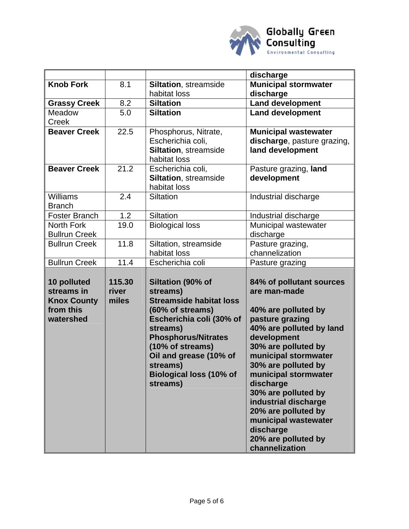

|                                                                                                                                                                                             |                                            |                                                                                                                                                                                                                                                                                                                                                          | discharge                                                                                                                                                                                                                                                                                                                                                                                                                                          |
|---------------------------------------------------------------------------------------------------------------------------------------------------------------------------------------------|--------------------------------------------|----------------------------------------------------------------------------------------------------------------------------------------------------------------------------------------------------------------------------------------------------------------------------------------------------------------------------------------------------------|----------------------------------------------------------------------------------------------------------------------------------------------------------------------------------------------------------------------------------------------------------------------------------------------------------------------------------------------------------------------------------------------------------------------------------------------------|
| <b>Knob Fork</b>                                                                                                                                                                            | 8.1                                        | <b>Siltation, streamside</b>                                                                                                                                                                                                                                                                                                                             | <b>Municipal stormwater</b>                                                                                                                                                                                                                                                                                                                                                                                                                        |
|                                                                                                                                                                                             |                                            | habitat loss                                                                                                                                                                                                                                                                                                                                             | discharge                                                                                                                                                                                                                                                                                                                                                                                                                                          |
| <b>Grassy Creek</b>                                                                                                                                                                         | 8.2                                        | <b>Siltation</b>                                                                                                                                                                                                                                                                                                                                         | <b>Land development</b>                                                                                                                                                                                                                                                                                                                                                                                                                            |
| Meadow                                                                                                                                                                                      | 5.0                                        | <b>Siltation</b>                                                                                                                                                                                                                                                                                                                                         | <b>Land development</b>                                                                                                                                                                                                                                                                                                                                                                                                                            |
| Creek                                                                                                                                                                                       |                                            |                                                                                                                                                                                                                                                                                                                                                          |                                                                                                                                                                                                                                                                                                                                                                                                                                                    |
| <b>Beaver Creek</b>                                                                                                                                                                         | 22.5                                       | Phosphorus, Nitrate,                                                                                                                                                                                                                                                                                                                                     | <b>Municipal wastewater</b>                                                                                                                                                                                                                                                                                                                                                                                                                        |
|                                                                                                                                                                                             |                                            | Escherichia coli,                                                                                                                                                                                                                                                                                                                                        | discharge, pasture grazing,                                                                                                                                                                                                                                                                                                                                                                                                                        |
|                                                                                                                                                                                             |                                            |                                                                                                                                                                                                                                                                                                                                                          |                                                                                                                                                                                                                                                                                                                                                                                                                                                    |
|                                                                                                                                                                                             |                                            |                                                                                                                                                                                                                                                                                                                                                          |                                                                                                                                                                                                                                                                                                                                                                                                                                                    |
|                                                                                                                                                                                             |                                            |                                                                                                                                                                                                                                                                                                                                                          |                                                                                                                                                                                                                                                                                                                                                                                                                                                    |
|                                                                                                                                                                                             |                                            |                                                                                                                                                                                                                                                                                                                                                          |                                                                                                                                                                                                                                                                                                                                                                                                                                                    |
|                                                                                                                                                                                             |                                            |                                                                                                                                                                                                                                                                                                                                                          |                                                                                                                                                                                                                                                                                                                                                                                                                                                    |
|                                                                                                                                                                                             |                                            |                                                                                                                                                                                                                                                                                                                                                          |                                                                                                                                                                                                                                                                                                                                                                                                                                                    |
|                                                                                                                                                                                             |                                            |                                                                                                                                                                                                                                                                                                                                                          |                                                                                                                                                                                                                                                                                                                                                                                                                                                    |
|                                                                                                                                                                                             |                                            |                                                                                                                                                                                                                                                                                                                                                          |                                                                                                                                                                                                                                                                                                                                                                                                                                                    |
|                                                                                                                                                                                             |                                            |                                                                                                                                                                                                                                                                                                                                                          |                                                                                                                                                                                                                                                                                                                                                                                                                                                    |
|                                                                                                                                                                                             |                                            |                                                                                                                                                                                                                                                                                                                                                          |                                                                                                                                                                                                                                                                                                                                                                                                                                                    |
|                                                                                                                                                                                             |                                            |                                                                                                                                                                                                                                                                                                                                                          |                                                                                                                                                                                                                                                                                                                                                                                                                                                    |
|                                                                                                                                                                                             |                                            |                                                                                                                                                                                                                                                                                                                                                          |                                                                                                                                                                                                                                                                                                                                                                                                                                                    |
|                                                                                                                                                                                             |                                            |                                                                                                                                                                                                                                                                                                                                                          |                                                                                                                                                                                                                                                                                                                                                                                                                                                    |
|                                                                                                                                                                                             | 115.30                                     |                                                                                                                                                                                                                                                                                                                                                          |                                                                                                                                                                                                                                                                                                                                                                                                                                                    |
| streams in                                                                                                                                                                                  | river                                      | streams)                                                                                                                                                                                                                                                                                                                                                 | are man-made                                                                                                                                                                                                                                                                                                                                                                                                                                       |
| <b>Knox County</b>                                                                                                                                                                          | miles                                      | <b>Streamside habitat loss</b>                                                                                                                                                                                                                                                                                                                           |                                                                                                                                                                                                                                                                                                                                                                                                                                                    |
| from this                                                                                                                                                                                   |                                            | (60% of streams)                                                                                                                                                                                                                                                                                                                                         | 40% are polluted by                                                                                                                                                                                                                                                                                                                                                                                                                                |
| watershed                                                                                                                                                                                   |                                            | Escherichia coli (30% of                                                                                                                                                                                                                                                                                                                                 | pasture grazing                                                                                                                                                                                                                                                                                                                                                                                                                                    |
|                                                                                                                                                                                             |                                            | streams)                                                                                                                                                                                                                                                                                                                                                 | 40% are polluted by land                                                                                                                                                                                                                                                                                                                                                                                                                           |
|                                                                                                                                                                                             |                                            | <b>Phosphorus/Nitrates</b>                                                                                                                                                                                                                                                                                                                               | development                                                                                                                                                                                                                                                                                                                                                                                                                                        |
|                                                                                                                                                                                             |                                            |                                                                                                                                                                                                                                                                                                                                                          | 30% are polluted by                                                                                                                                                                                                                                                                                                                                                                                                                                |
|                                                                                                                                                                                             |                                            |                                                                                                                                                                                                                                                                                                                                                          | municipal stormwater                                                                                                                                                                                                                                                                                                                                                                                                                               |
|                                                                                                                                                                                             |                                            |                                                                                                                                                                                                                                                                                                                                                          |                                                                                                                                                                                                                                                                                                                                                                                                                                                    |
|                                                                                                                                                                                             |                                            |                                                                                                                                                                                                                                                                                                                                                          |                                                                                                                                                                                                                                                                                                                                                                                                                                                    |
|                                                                                                                                                                                             |                                            |                                                                                                                                                                                                                                                                                                                                                          |                                                                                                                                                                                                                                                                                                                                                                                                                                                    |
|                                                                                                                                                                                             |                                            |                                                                                                                                                                                                                                                                                                                                                          |                                                                                                                                                                                                                                                                                                                                                                                                                                                    |
|                                                                                                                                                                                             |                                            |                                                                                                                                                                                                                                                                                                                                                          |                                                                                                                                                                                                                                                                                                                                                                                                                                                    |
|                                                                                                                                                                                             |                                            |                                                                                                                                                                                                                                                                                                                                                          |                                                                                                                                                                                                                                                                                                                                                                                                                                                    |
|                                                                                                                                                                                             |                                            |                                                                                                                                                                                                                                                                                                                                                          |                                                                                                                                                                                                                                                                                                                                                                                                                                                    |
|                                                                                                                                                                                             |                                            |                                                                                                                                                                                                                                                                                                                                                          |                                                                                                                                                                                                                                                                                                                                                                                                                                                    |
|                                                                                                                                                                                             |                                            |                                                                                                                                                                                                                                                                                                                                                          |                                                                                                                                                                                                                                                                                                                                                                                                                                                    |
| <b>Beaver Creek</b><br><b>Williams</b><br><b>Branch</b><br><b>Foster Branch</b><br><b>North Fork</b><br><b>Bullrun Creek</b><br><b>Bullrun Creek</b><br><b>Bullrun Creek</b><br>10 polluted | 21.2<br>2.4<br>1.2<br>19.0<br>11.8<br>11.4 | Siltation, streamside<br>habitat loss<br>Escherichia coli,<br><b>Siltation, streamside</b><br>habitat loss<br>Siltation<br>Siltation<br><b>Biological loss</b><br>Siltation, streamside<br>habitat loss<br>Escherichia coli<br>Siltation (90% of<br>(10% of streams)<br>Oil and grease (10% of<br>streams)<br><b>Biological loss (10% of</b><br>streams) | land development<br>Pasture grazing, land<br>development<br>Industrial discharge<br>Industrial discharge<br>Municipal wastewater<br>discharge<br>Pasture grazing,<br>channelization<br>Pasture grazing<br>84% of pollutant sources<br>30% are polluted by<br>municipal stormwater<br>discharge<br>30% are polluted by<br>industrial discharge<br>20% are polluted by<br>municipal wastewater<br>discharge<br>20% are polluted by<br>channelization |